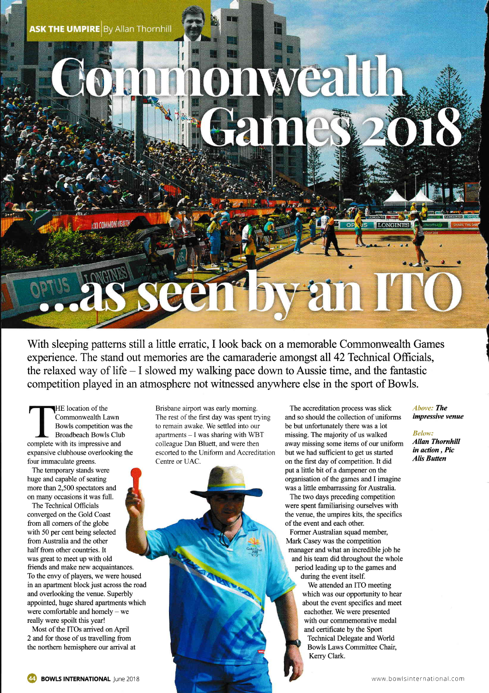**ASK THE UMPIRE By Allan Thornhill** 

 $\geq$  $\cdot$   $\cdot$ 

With sleeping patterns still a little erratic, I look back on a memorable Commonwealth Games experience. The stand out memories are the camaraderie amongst all 42 Technical Officials, the relaxed way of life  $-1$  slowed my walking pace down to Aussie time, and the fantastic competition played in an atmosphere not witnessed anywhere else in the sport of Bowls.

HE location of the Commonwealth Lawn Bowls competition was the Broadbeach Bowls Club complete with its impressive and expansive clubhouse overlooking the four immaculate greens.

The temporary stands were huge and capable of seating more than 2,500 spectators and on many occasions it was fuIl.

The Technical Officials converged on the Gold Coast from all comers of the globe with 50 per cent being selected fromAustralia and the other half from other countries. It was great to meet up with old friends and make new acquaintances. To the envy of players, we were housed in an apartment block just across the road and overlooking the venue. Superbly appointed, huge shared apartments which were comfortable and homely - we really were spoilt this year!

Most of the ITOs arrived onApril 2 and for those of us travelling from the northem hemisphere our arrival at Brisbane airport was early morning. The rest of the first day was spent trying to remain awake. We settled into our apartments  $- I$  was sharing with WBT colleague Dan Bluett, and were then escorted to the Uniform and Accreditation Centre or UAC.

The accreditation process was slick and so should the collection of uniforms be but unfortunately there was a lot missing. The majority of us walked away missing some items of our uniform but we had sufficient to get us started on the frst day of competition. It did put a little bit of a dampener on the organisation of the games and I imagine was a little embarrassing for Australia.

The two days preceding competition were spent familiarising ourselves with the venue, the umpires kits, the specifics of the event and each other.

Former Austalian squad member, Mark Casey was the competition manager and what an incredible job he and his team did throughout the whole period leading up to the games and during the event itself.

We attended an ITO meeting which was our opportunity to hear about the event specifics and meet eachother. We were presented with our commemorative medal and certificate by the Sport Technical Delegate and World Bowls Laws Committee Chair, Kerry Clark.

Ahove: The impressive venue

**LONGINE** 

Below: Allan Thornhill in action, Pic Alis Butten